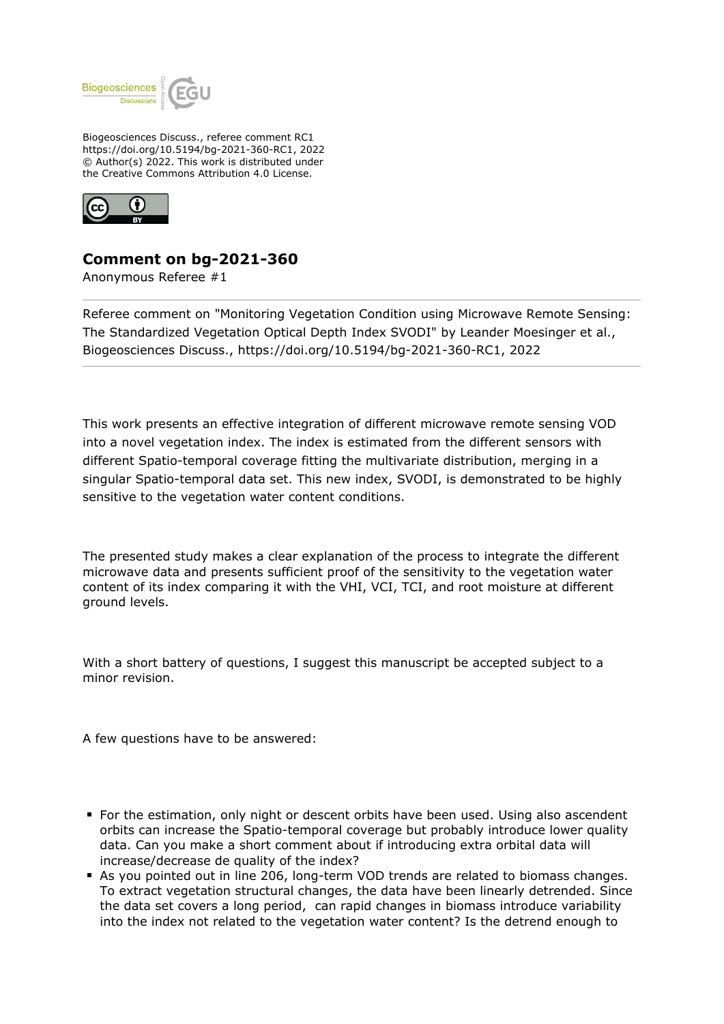

Biogeosciences Discuss., referee comment RC1 https://doi.org/10.5194/bg-2021-360-RC1, 2022 © Author(s) 2022. This work is distributed under the Creative Commons Attribution 4.0 License.



## **Comment on bg-2021-360**

Anonymous Referee #1

Referee comment on "Monitoring Vegetation Condition using Microwave Remote Sensing: The Standardized Vegetation Optical Depth Index SVODI" by Leander Moesinger et al., Biogeosciences Discuss., https://doi.org/10.5194/bg-2021-360-RC1, 2022

This work presents an effective integration of different microwave remote sensing VOD into a novel vegetation index. The index is estimated from the different sensors with different Spatio-temporal coverage fitting the multivariate distribution, merging in a singular Spatio-temporal data set. This new index, SVODI, is demonstrated to be highly sensitive to the vegetation water content conditions.

The presented study makes a clear explanation of the process to integrate the different microwave data and presents sufficient proof of the sensitivity to the vegetation water content of its index comparing it with the VHI, VCI, TCI, and root moisture at different ground levels.

With a short battery of questions, I suggest this manuscript be accepted subject to a minor revision.

A few questions have to be answered:

- For the estimation, only night or descent orbits have been used. Using also ascendent orbits can increase the Spatio-temporal coverage but probably introduce lower quality data. Can you make a short comment about if introducing extra orbital data will increase/decrease de quality of the index?
- As you pointed out in line 206, long-term VOD trends are related to biomass changes. To extract vegetation structural changes, the data have been linearly detrended. Since the data set covers a long period, can rapid changes in biomass introduce variability into the index not related to the vegetation water content? Is the detrend enough to